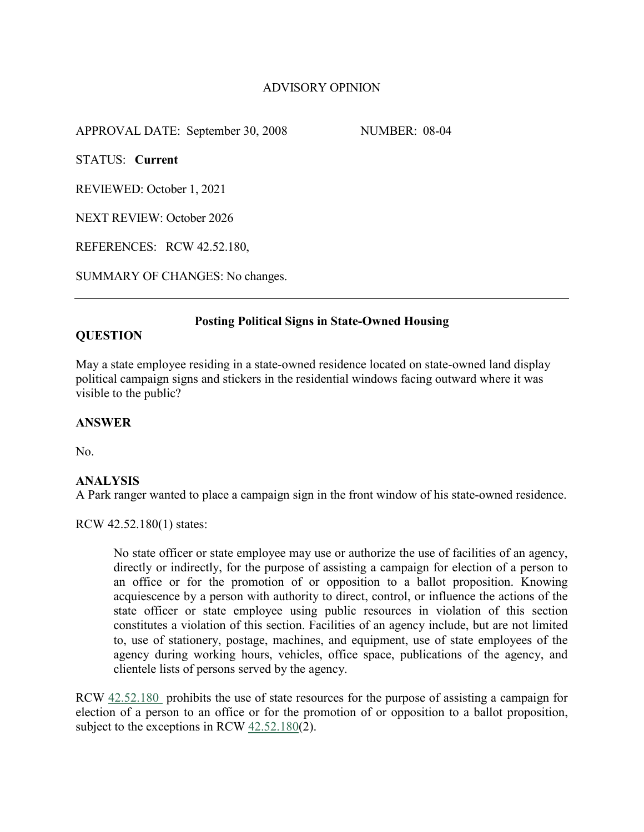# ADVISORY OPINION

APPROVAL DATE: September 30, 2008 NUMBER: 08-04

STATUS: **Current**

REVIEWED: October 1, 2021

NEXT REVIEW: October 2026

REFERENCES: RCW 42.52.180,

SUMMARY OF CHANGES: No changes.

## **Posting Political Signs in State-Owned Housing**

## **QUESTION**

May a state employee residing in a state-owned residence located on state-owned land display political campaign signs and stickers in the residential windows facing outward where it was visible to the public?

## **ANSWER**

No.

## **ANALYSIS**

A Park ranger wanted to place a campaign sign in the front window of his state-owned residence.

RCW 42.52.180(1) states:

No state officer or state employee may use or authorize the use of facilities of an agency, directly or indirectly, for the purpose of assisting a campaign for election of a person to an office or for the promotion of or opposition to a ballot proposition. Knowing acquiescence by a person with authority to direct, control, or influence the actions of the state officer or state employee using public resources in violation of this section constitutes a violation of this section. Facilities of an agency include, but are not limited to, use of stationery, postage, machines, and equipment, use of state employees of the agency during working hours, vehicles, office space, publications of the agency, and clientele lists of persons served by the agency.

RCW [42.52.180](http://apps.leg.wa.gov/RCW/default.aspx?cite=42.52.180) prohibits the use of state resources for the purpose of assisting a campaign for election of a person to an office or for the promotion of or opposition to a ballot proposition, subject to the exceptions in RCW [42.52.180\(](http://apps.leg.wa.gov/RCW/default.aspx?cite=42.52.180)2).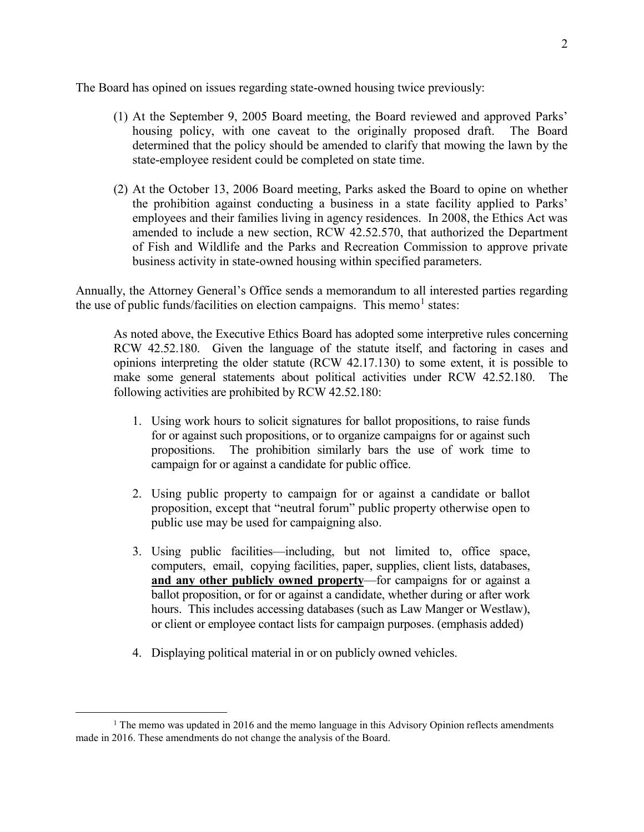The Board has opined on issues regarding state-owned housing twice previously:

- (1) At the September 9, 2005 Board meeting, the Board reviewed and approved Parks' housing policy, with one caveat to the originally proposed draft. The Board determined that the policy should be amended to clarify that mowing the lawn by the state-employee resident could be completed on state time.
- (2) At the October 13, 2006 Board meeting, Parks asked the Board to opine on whether the prohibition against conducting a business in a state facility applied to Parks' employees and their families living in agency residences. In 2008, the Ethics Act was amended to include a new section, RCW 42.52.570, that authorized the Department of Fish and Wildlife and the Parks and Recreation Commission to approve private business activity in state-owned housing within specified parameters.

Annually, the Attorney General's Office sends a memorandum to all interested parties regarding the use of public funds/facilities on election campaigns. This memo<sup>[1](#page-1-0)</sup> states:

As noted above, the Executive Ethics Board has adopted some interpretive rules concerning RCW 42.52.180. Given the language of the statute itself, and factoring in cases and opinions interpreting the older statute (RCW 42.17.130) to some extent, it is possible to make some general statements about political activities under RCW 42.52.180. The following activities are prohibited by RCW 42.52.180:

- 1. Using work hours to solicit signatures for ballot propositions, to raise funds for or against such propositions, or to organize campaigns for or against such propositions. The prohibition similarly bars the use of work time to campaign for or against a candidate for public office.
- 2. Using public property to campaign for or against a candidate or ballot proposition, except that "neutral forum" public property otherwise open to public use may be used for campaigning also.
- 3. Using public facilities—including, but not limited to, office space, computers, email, copying facilities, paper, supplies, client lists, databases, **and any other publicly owned property**—for campaigns for or against a ballot proposition, or for or against a candidate, whether during or after work hours. This includes accessing databases (such as Law Manger or Westlaw), or client or employee contact lists for campaign purposes. (emphasis added)
- 4. Displaying political material in or on publicly owned vehicles.

<span id="page-1-0"></span><sup>&</sup>lt;sup>1</sup> The memo was updated in 2016 and the memo language in this Advisory Opinion reflects amendments made in 2016. These amendments do not change the analysis of the Board.